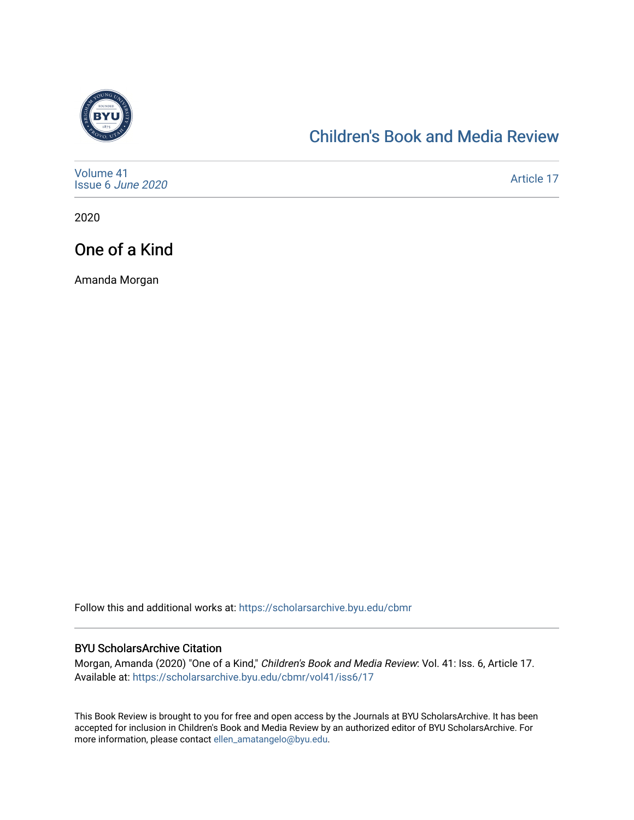

## [Children's Book and Media Review](https://scholarsarchive.byu.edu/cbmr)

| Volume 41<br>Issue 6 June 2020 | Article 17 |
|--------------------------------|------------|
|--------------------------------|------------|

2020

# One of a Kind

Amanda Morgan

Follow this and additional works at: [https://scholarsarchive.byu.edu/cbmr](https://scholarsarchive.byu.edu/cbmr?utm_source=scholarsarchive.byu.edu%2Fcbmr%2Fvol41%2Fiss6%2F17&utm_medium=PDF&utm_campaign=PDFCoverPages) 

#### BYU ScholarsArchive Citation

Morgan, Amanda (2020) "One of a Kind," Children's Book and Media Review: Vol. 41: Iss. 6, Article 17. Available at: [https://scholarsarchive.byu.edu/cbmr/vol41/iss6/17](https://scholarsarchive.byu.edu/cbmr/vol41/iss6/17?utm_source=scholarsarchive.byu.edu%2Fcbmr%2Fvol41%2Fiss6%2F17&utm_medium=PDF&utm_campaign=PDFCoverPages)

This Book Review is brought to you for free and open access by the Journals at BYU ScholarsArchive. It has been accepted for inclusion in Children's Book and Media Review by an authorized editor of BYU ScholarsArchive. For more information, please contact [ellen\\_amatangelo@byu.edu.](mailto:ellen_amatangelo@byu.edu)